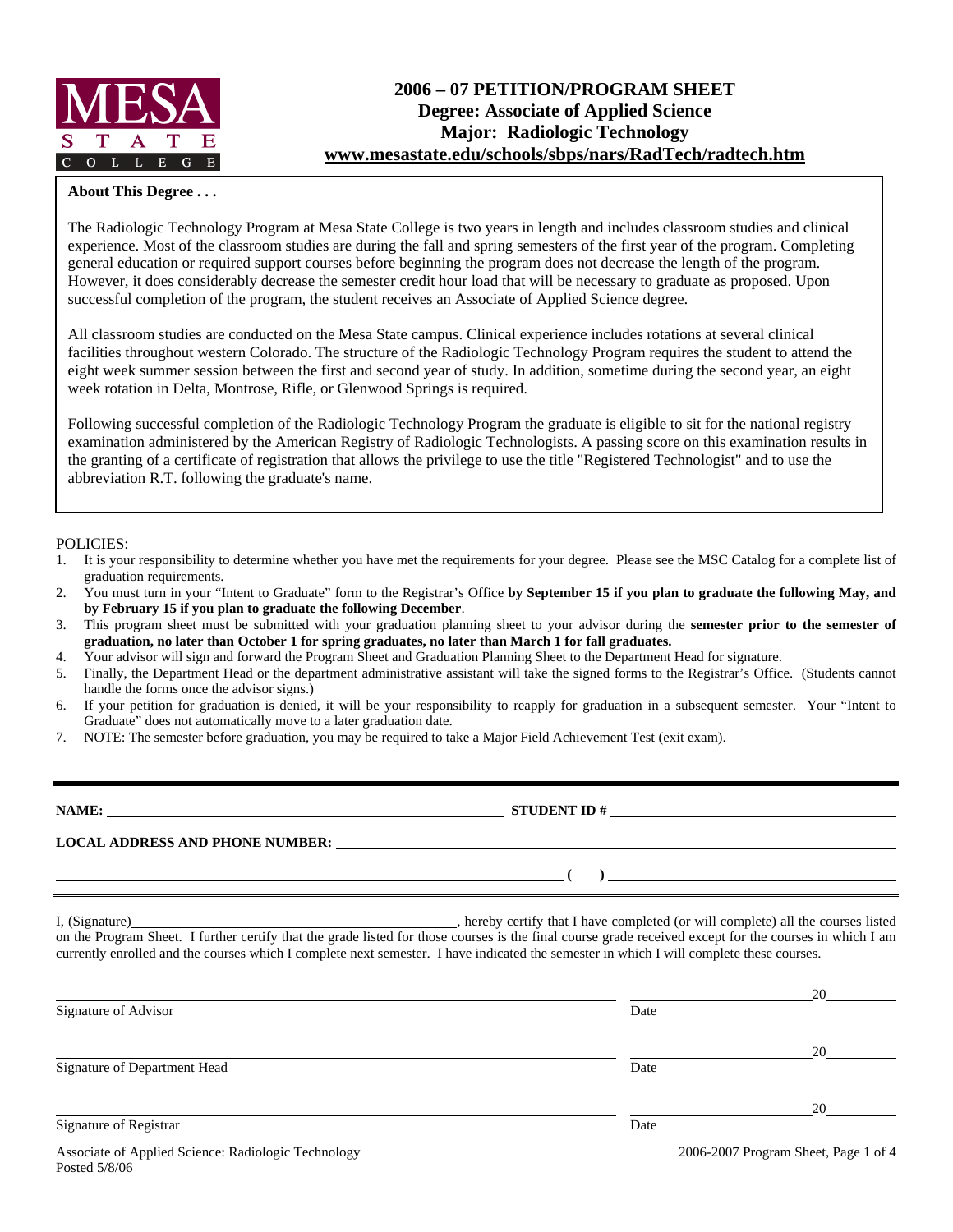

# **2006 – 07 PETITION/PROGRAM SHEET Degree: Associate of Applied Science Major: Radiologic Technology www.mesastate.edu/schools/sbps/nars/RadTech/radtech.htm**

### **About This Degree . . .**

The Radiologic Technology Program at Mesa State College is two years in length and includes classroom studies and clinical experience. Most of the classroom studies are during the fall and spring semesters of the first year of the program. Completing general education or required support courses before beginning the program does not decrease the length of the program. However, it does considerably decrease the semester credit hour load that will be necessary to graduate as proposed. Upon successful completion of the program, the student receives an Associate of Applied Science degree.

All classroom studies are conducted on the Mesa State campus. Clinical experience includes rotations at several clinical facilities throughout western Colorado. The structure of the Radiologic Technology Program requires the student to attend the eight week summer session between the first and second year of study. In addition, sometime during the second year, an eight week rotation in Delta, Montrose, Rifle, or Glenwood Springs is required.

Following successful completion of the Radiologic Technology Program the graduate is eligible to sit for the national registry examination administered by the American Registry of Radiologic Technologists. A passing score on this examination results in the granting of a certificate of registration that allows the privilege to use the title "Registered Technologist" and to use the abbreviation R.T. following the graduate's name.

#### POLICIES:

Posted 5/8/06

- 1. It is your responsibility to determine whether you have met the requirements for your degree. Please see the MSC Catalog for a complete list of graduation requirements.
- 2. You must turn in your "Intent to Graduate" form to the Registrar's Office **by September 15 if you plan to graduate the following May, and by February 15 if you plan to graduate the following December**.
- 3. This program sheet must be submitted with your graduation planning sheet to your advisor during the **semester prior to the semester of graduation, no later than October 1 for spring graduates, no later than March 1 for fall graduates.**
- 4. Your advisor will sign and forward the Program Sheet and Graduation Planning Sheet to the Department Head for signature.
- 5. Finally, the Department Head or the department administrative assistant will take the signed forms to the Registrar's Office. (Students cannot handle the forms once the advisor signs.)
- 6. If your petition for graduation is denied, it will be your responsibility to reapply for graduation in a subsequent semester. Your "Intent to Graduate" does not automatically move to a later graduation date.
- 7. NOTE: The semester before graduation, you may be required to take a Major Field Achievement Test (exit exam).

| NAME:                                  | <b>STUDENT ID#</b> |  |
|----------------------------------------|--------------------|--|
| <b>LOCAL ADDRESS AND PHONE NUMBER:</b> |                    |  |
|                                        |                    |  |

I, (Signature) **Solution** , hereby certify that I have completed (or will complete) all the courses listed on the Program Sheet. I further certify that the grade listed for those courses is the final course grade received except for the courses in which I am currently enrolled and the courses which I complete next semester. I have indicated the semester in which I will complete these courses.

|                                                     |      | 20                                   |
|-----------------------------------------------------|------|--------------------------------------|
| Signature of Advisor                                | Date |                                      |
|                                                     |      | 20                                   |
| Signature of Department Head                        | Date |                                      |
|                                                     |      | 20                                   |
| Signature of Registrar                              | Date |                                      |
| Associate of Applied Science: Radiologic Technology |      | 2006-2007 Program Sheet, Page 1 of 4 |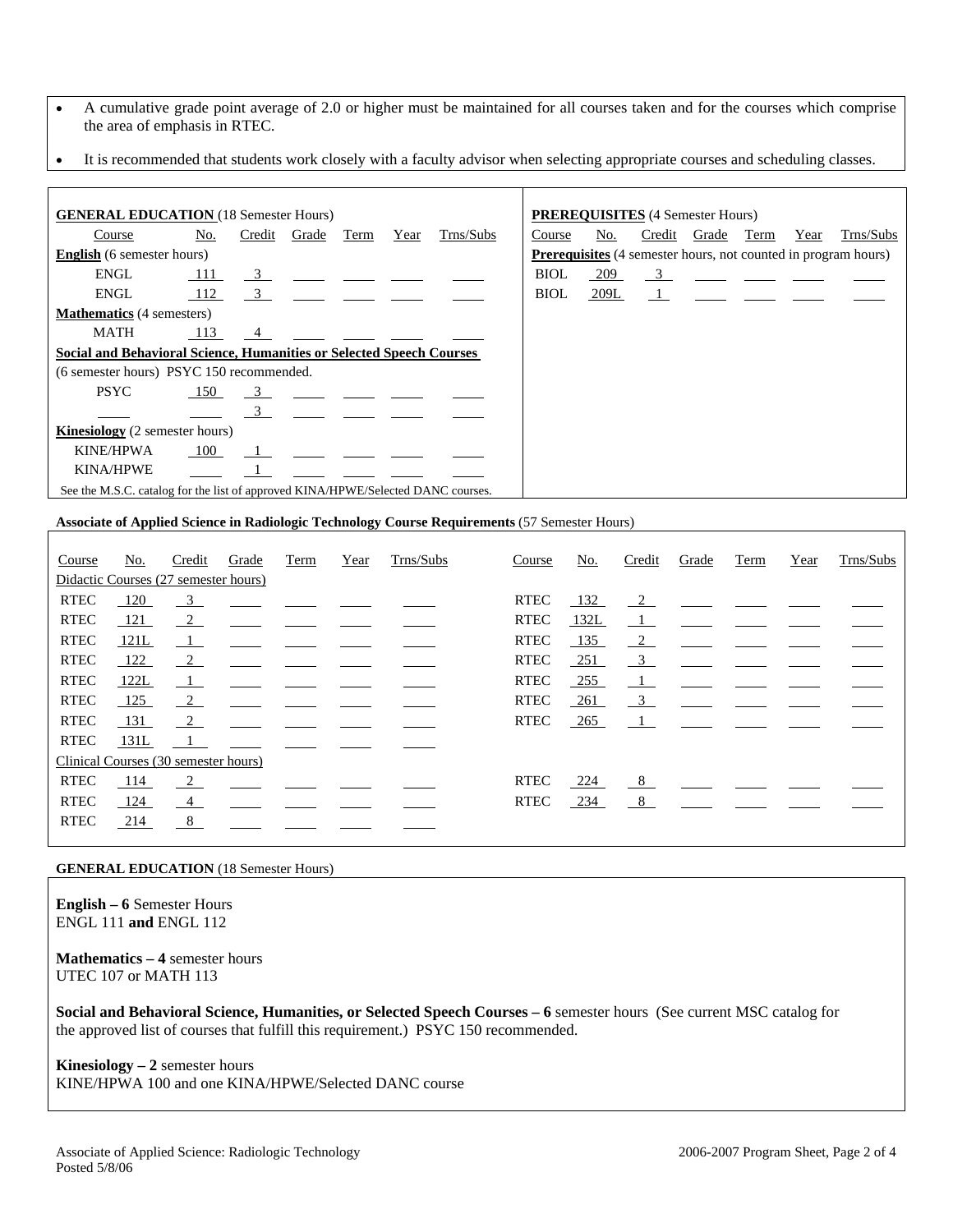- A cumulative grade point average of 2.0 or higher must be maintained for all courses taken and for the courses which comprise the area of emphasis in RTEC.
- It is recommended that students work closely with a faculty advisor when selecting appropriate courses and scheduling classes.

| <b>GENERAL EDUCATION</b> (18 Semester Hours)                                     |     |                         |       |      |      |           |             |      | <b>PREREQUISITES</b> (4 Semester Hours) |       |      |      |                                                                       |
|----------------------------------------------------------------------------------|-----|-------------------------|-------|------|------|-----------|-------------|------|-----------------------------------------|-------|------|------|-----------------------------------------------------------------------|
| Course                                                                           | No. | Credit                  | Grade | Term | Year | Trns/Subs | Course      | No.  | Credit                                  | Grade | Term | Year | Trns/Subs                                                             |
| <b>English</b> (6 semester hours)                                                |     |                         |       |      |      |           |             |      |                                         |       |      |      | <b>Prerequisites</b> (4 semester hours, not counted in program hours) |
| <b>ENGL</b>                                                                      | 111 | $\overline{\mathbf{3}}$ |       |      |      |           | <b>BIOL</b> | 209  | $\overline{\mathbf{3}}$                 |       |      |      |                                                                       |
| ENGL                                                                             |     |                         |       |      |      |           | BIOL        | 209L | $\frac{1}{2}$                           |       |      |      |                                                                       |
| <b>Mathematics</b> (4 semesters)                                                 |     |                         |       |      |      |           |             |      |                                         |       |      |      |                                                                       |
| <b>MATH</b>                                                                      | 113 | $\frac{4}{1}$           |       |      |      |           |             |      |                                         |       |      |      |                                                                       |
| Social and Behavioral Science, Humanities or Selected Speech Courses             |     |                         |       |      |      |           |             |      |                                         |       |      |      |                                                                       |
| (6 semester hours) PSYC 150 recommended.                                         |     |                         |       |      |      |           |             |      |                                         |       |      |      |                                                                       |
| <b>PSYC</b>                                                                      | 150 | 3                       |       |      |      |           |             |      |                                         |       |      |      |                                                                       |
|                                                                                  |     | $\overline{\mathbf{3}}$ |       |      |      |           |             |      |                                         |       |      |      |                                                                       |
| <b>Kinesiology</b> (2 semester hours)                                            |     |                         |       |      |      |           |             |      |                                         |       |      |      |                                                                       |
| KINE/HPWA                                                                        | 100 |                         |       |      |      |           |             |      |                                         |       |      |      |                                                                       |
| <b>KINA/HPWE</b>                                                                 |     |                         |       |      |      |           |             |      |                                         |       |      |      |                                                                       |
| See the M.S.C. catalog for the list of approved KINA/HPWE/Selected DANC courses. |     |                         |       |      |      |           |             |      |                                         |       |      |      |                                                                       |
|                                                                                  |     |                         |       |      |      |           |             |      |                                         |       |      |      |                                                                       |

#### **Associate of Applied Science in Radiologic Technology Course Requirements** (57 Semester Hours)

| Course      | No.  | Credit                               | Grade | Term | Year | Trns/Subs | Course      | No.        | Credit                  | Grade | Term | Year | Trns/Subs |
|-------------|------|--------------------------------------|-------|------|------|-----------|-------------|------------|-------------------------|-------|------|------|-----------|
|             |      | Didactic Courses (27 semester hours) |       |      |      |           |             |            |                         |       |      |      |           |
| <b>RTEC</b> | 120  | $\overline{\mathbf{3}}$              |       |      |      |           | <b>RTEC</b> | 132        | 2                       |       |      |      |           |
| <b>RTEC</b> | 121  | $\frac{2}{2}$                        |       |      |      |           | <b>RTEC</b> | 132L       | - 1                     |       |      |      |           |
| <b>RTEC</b> | 121L | $\overline{1}$                       |       |      |      |           | <b>RTEC</b> | 135        | 2                       |       |      |      |           |
| <b>RTEC</b> | 122  | $\frac{2}{2}$                        |       |      |      |           | <b>RTEC</b> | <u>251</u> | $\overline{\mathbf{3}}$ |       |      |      |           |
| <b>RTEC</b> | 122L | $\overline{1}$                       |       |      |      |           | <b>RTEC</b> | 255        | $\perp$                 |       |      |      |           |
| <b>RTEC</b> | 125  | $\frac{2}{2}$                        |       |      |      |           | <b>RTEC</b> | <u>261</u> | $\overline{3}$          |       |      |      |           |
| <b>RTEC</b> | 131  | $\frac{2}{2}$                        |       |      |      |           | <b>RTEC</b> | 265        | $\mathbf{1}$            |       |      |      |           |
| <b>RTEC</b> | 131L |                                      |       |      |      |           |             |            |                         |       |      |      |           |
|             |      | Clinical Courses (30 semester hours) |       |      |      |           |             |            |                         |       |      |      |           |
| <b>RTEC</b> | 114  | $\overline{2}$                       |       |      |      |           | <b>RTEC</b> | 224        | 8                       |       |      |      |           |
| <b>RTEC</b> | 124  | $\frac{4}{ }$                        |       |      |      |           | <b>RTEC</b> | 234        | - 8                     |       |      |      |           |
| <b>RTEC</b> | 214  | 8                                    |       |      |      |           |             |            |                         |       |      |      |           |
|             |      |                                      |       |      |      |           |             |            |                         |       |      |      |           |

#### **GENERAL EDUCATION** (18 Semester Hours)

**English – 6** Semester Hours ENGL 111 **and** ENGL 112

**Mathematics – 4** semester hours UTEC 107 or MATH 113

**Social and Behavioral Science, Humanities, or Selected Speech Courses – 6** semester hours (See current MSC catalog for the approved list of courses that fulfill this requirement.) PSYC 150 recommended.

**Kinesiology – 2** semester hours KINE/HPWA 100 and one KINA/HPWE/Selected DANC course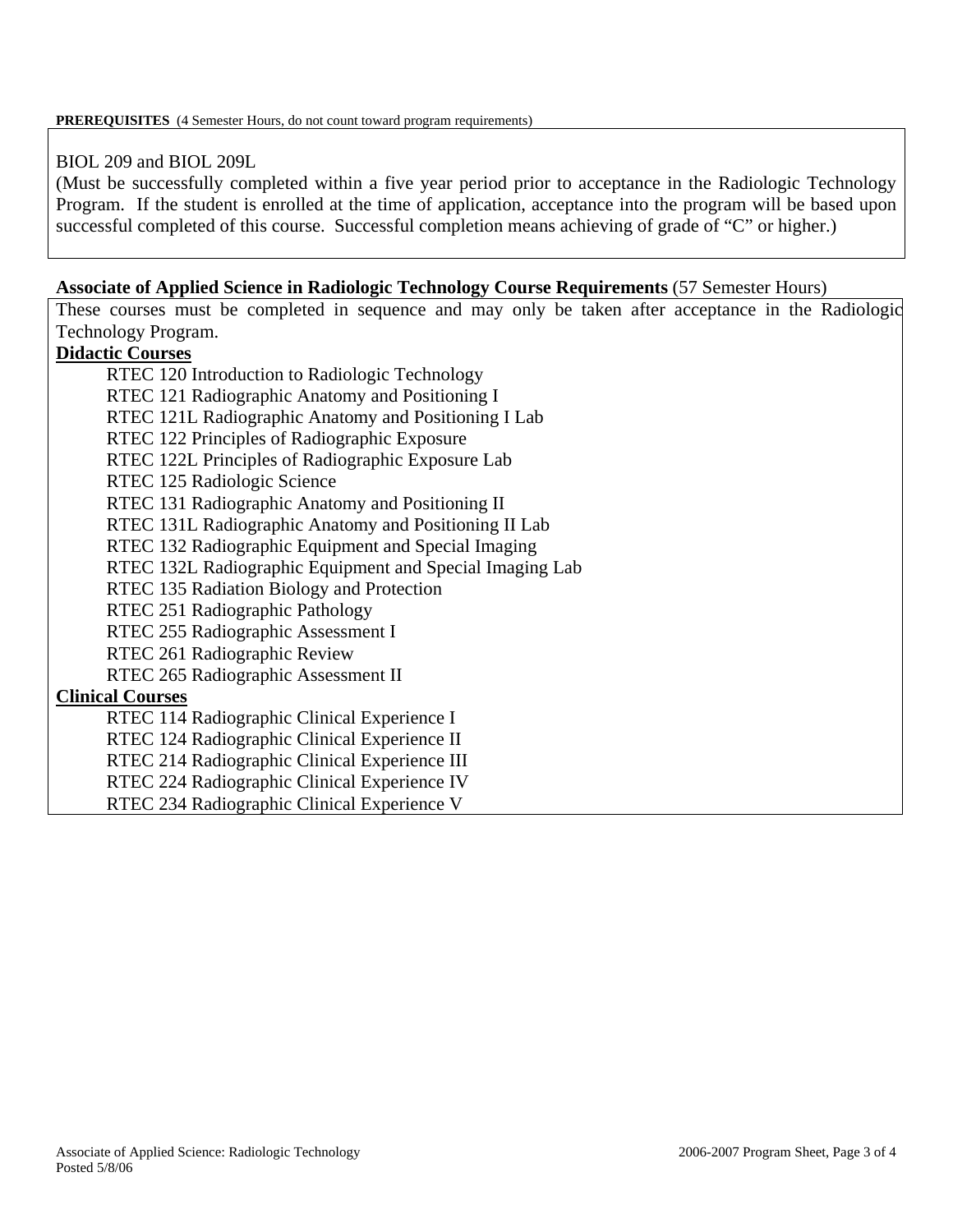## BIOL 209 and BIOL 209L

(Must be successfully completed within a five year period prior to acceptance in the Radiologic Technology Program. If the student is enrolled at the time of application, acceptance into the program will be based upon successful completed of this course. Successful completion means achieving of grade of "C" or higher.)

## **Associate of Applied Science in Radiologic Technology Course Requirements** (57 Semester Hours)

These courses must be completed in sequence and may only be taken after acceptance in the Radiologic Technology Program.

## **Didactic Courses**

RTEC 120 Introduction to Radiologic Technology RTEC 121 Radiographic Anatomy and Positioning I RTEC 121L Radiographic Anatomy and Positioning I Lab RTEC 122 Principles of Radiographic Exposure RTEC 122L Principles of Radiographic Exposure Lab RTEC 125 Radiologic Science RTEC 131 Radiographic Anatomy and Positioning II RTEC 131L Radiographic Anatomy and Positioning II Lab RTEC 132 Radiographic Equipment and Special Imaging RTEC 132L Radiographic Equipment and Special Imaging Lab RTEC 135 Radiation Biology and Protection RTEC 251 Radiographic Pathology RTEC 255 Radiographic Assessment I RTEC 261 Radiographic Review RTEC 265 Radiographic Assessment II **Clinical Courses** RTEC 114 Radiographic Clinical Experience I RTEC 124 Radiographic Clinical Experience II RTEC 214 Radiographic Clinical Experience III RTEC 224 Radiographic Clinical Experience IV

RTEC 234 Radiographic Clinical Experience V